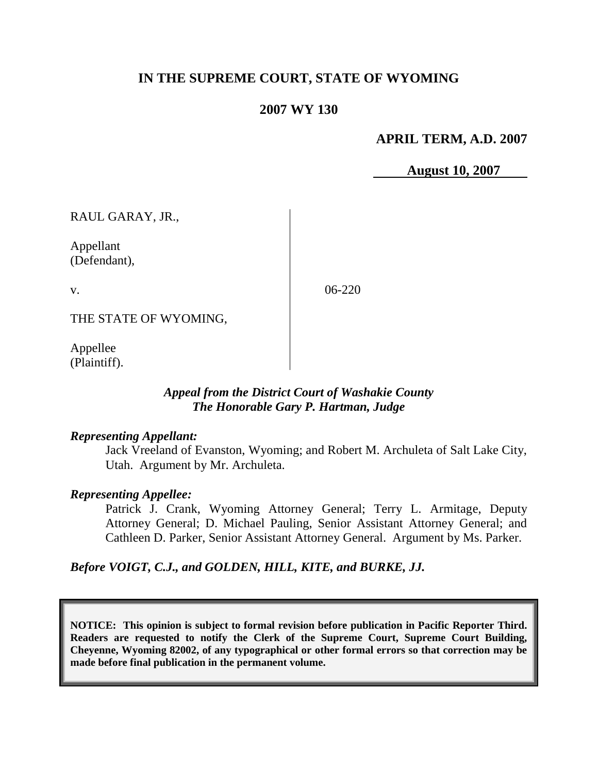# **IN THE SUPREME COURT, STATE OF WYOMING**

## **2007 WY 130**

#### **APRIL TERM, A.D. 2007**

**August 10, 2007**

RAUL GARAY, JR.,

Appellant (Defendant),

v.

06-220

THE STATE OF WYOMING,

Appellee (Plaintiff).

## *Appeal from the District Court of Washakie County The Honorable Gary P. Hartman, Judge*

#### *Representing Appellant:*

Jack Vreeland of Evanston, Wyoming; and Robert M. Archuleta of Salt Lake City, Utah. Argument by Mr. Archuleta.

#### *Representing Appellee:*

Patrick J. Crank, Wyoming Attorney General; Terry L. Armitage, Deputy Attorney General; D. Michael Pauling, Senior Assistant Attorney General; and Cathleen D. Parker, Senior Assistant Attorney General. Argument by Ms. Parker.

*Before VOIGT, C.J., and GOLDEN, HILL, KITE, and BURKE, JJ.*

**NOTICE: This opinion is subject to formal revision before publication in Pacific Reporter Third. Readers are requested to notify the Clerk of the Supreme Court, Supreme Court Building, Cheyenne, Wyoming 82002, of any typographical or other formal errors so that correction may be made before final publication in the permanent volume.**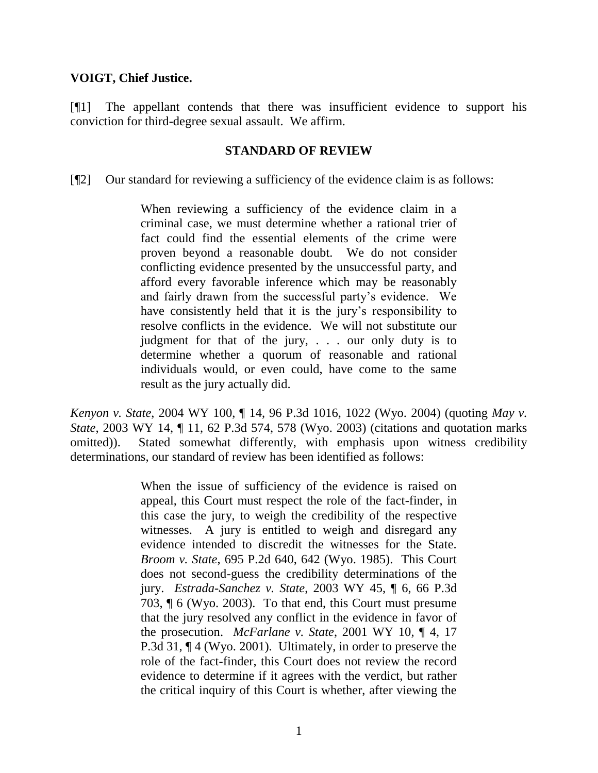## **VOIGT, Chief Justice.**

[¶1] The appellant contends that there was insufficient evidence to support his conviction for third-degree sexual assault. We affirm.

#### **STANDARD OF REVIEW**

[¶2] Our standard for reviewing a sufficiency of the evidence claim is as follows:

When reviewing a sufficiency of the evidence claim in a criminal case, we must determine whether a rational trier of fact could find the essential elements of the crime were proven beyond a reasonable doubt. We do not consider conflicting evidence presented by the unsuccessful party, and afford every favorable inference which may be reasonably and fairly drawn from the successful party's evidence. We have consistently held that it is the jury's responsibility to resolve conflicts in the evidence. We will not substitute our judgment for that of the jury, . . . our only duty is to determine whether a quorum of reasonable and rational individuals would, or even could, have come to the same result as the jury actually did.

*Kenyon v. State*, 2004 WY 100, ¶ 14, 96 P.3d 1016, 1022 (Wyo. 2004) (quoting *May v. State*, 2003 WY 14, ¶ 11, 62 P.3d 574, 578 (Wyo. 2003) (citations and quotation marks omitted)). Stated somewhat differently, with emphasis upon witness credibility determinations, our standard of review has been identified as follows:

> When the issue of sufficiency of the evidence is raised on appeal, this Court must respect the role of the fact-finder, in this case the jury, to weigh the credibility of the respective witnesses. A jury is entitled to weigh and disregard any evidence intended to discredit the witnesses for the State. *Broom v. State*, 695 P.2d 640, 642 (Wyo. 1985). This Court does not second-guess the credibility determinations of the jury. *Estrada-Sanchez v. State*, 2003 WY 45, ¶ 6, 66 P.3d 703, ¶ 6 (Wyo. 2003). To that end, this Court must presume that the jury resolved any conflict in the evidence in favor of the prosecution. *McFarlane v. State*, 2001 WY 10, ¶ 4, 17 P.3d 31, ¶ 4 (Wyo. 2001). Ultimately, in order to preserve the role of the fact-finder, this Court does not review the record evidence to determine if it agrees with the verdict, but rather the critical inquiry of this Court is whether, after viewing the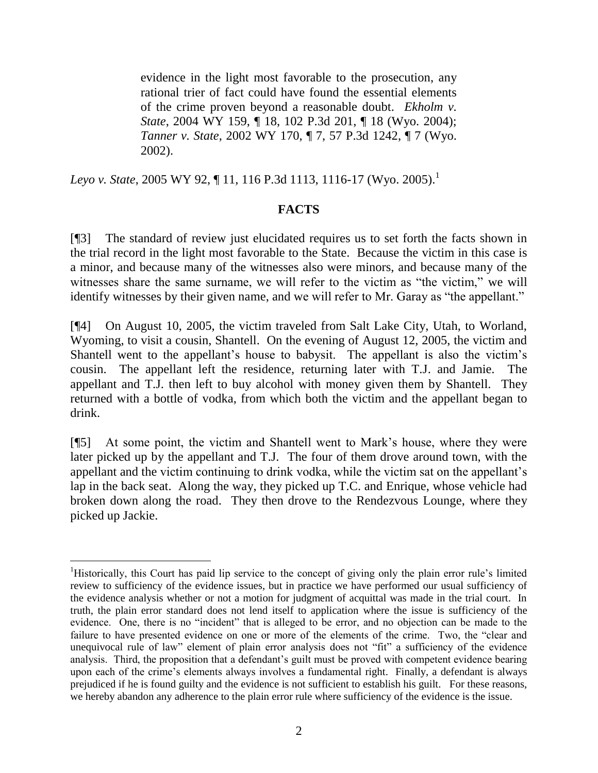evidence in the light most favorable to the prosecution, any rational trier of fact could have found the essential elements of the crime proven beyond a reasonable doubt. *Ekholm v. State*, 2004 WY 159, ¶ 18, 102 P.3d 201, ¶ 18 (Wyo. 2004); *Tanner v. State*, 2002 WY 170, ¶ 7, 57 P.3d 1242, ¶ 7 (Wyo. 2002).

Leyo v. State, 2005 WY 92, ¶ 11, 116 P.3d 1113, 1116-17 (Wyo. 2005).<sup>1</sup>

## **FACTS**

[¶3] The standard of review just elucidated requires us to set forth the facts shown in the trial record in the light most favorable to the State. Because the victim in this case is a minor, and because many of the witnesses also were minors, and because many of the witnesses share the same surname, we will refer to the victim as "the victim," we will identify witnesses by their given name, and we will refer to Mr. Garay as "the appellant."

[¶4] On August 10, 2005, the victim traveled from Salt Lake City, Utah, to Worland, Wyoming, to visit a cousin, Shantell. On the evening of August 12, 2005, the victim and Shantell went to the appellant's house to babysit. The appellant is also the victim's cousin. The appellant left the residence, returning later with T.J. and Jamie. The appellant and T.J. then left to buy alcohol with money given them by Shantell. They returned with a bottle of vodka, from which both the victim and the appellant began to drink.

[¶5] At some point, the victim and Shantell went to Mark's house, where they were later picked up by the appellant and T.J. The four of them drove around town, with the appellant and the victim continuing to drink vodka, while the victim sat on the appellant's lap in the back seat. Along the way, they picked up T.C. and Enrique, whose vehicle had broken down along the road. They then drove to the Rendezvous Lounge, where they picked up Jackie.

 $\overline{a}$ 

<sup>1</sup>Historically, this Court has paid lip service to the concept of giving only the plain error rule's limited review to sufficiency of the evidence issues, but in practice we have performed our usual sufficiency of the evidence analysis whether or not a motion for judgment of acquittal was made in the trial court. In truth, the plain error standard does not lend itself to application where the issue is sufficiency of the evidence. One, there is no "incident" that is alleged to be error, and no objection can be made to the failure to have presented evidence on one or more of the elements of the crime. Two, the "clear and unequivocal rule of law" element of plain error analysis does not "fit" a sufficiency of the evidence analysis. Third, the proposition that a defendant's guilt must be proved with competent evidence bearing upon each of the crime's elements always involves a fundamental right. Finally, a defendant is always prejudiced if he is found guilty and the evidence is not sufficient to establish his guilt. For these reasons, we hereby abandon any adherence to the plain error rule where sufficiency of the evidence is the issue.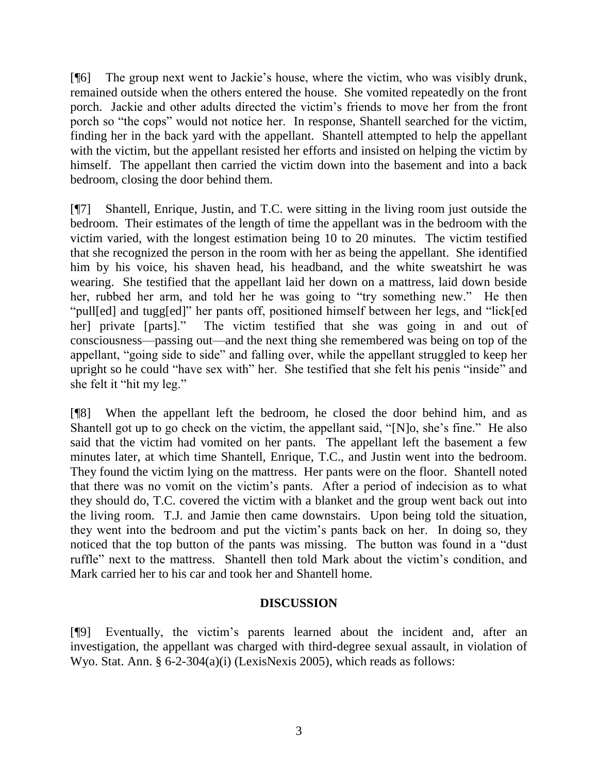[¶6] The group next went to Jackie's house, where the victim, who was visibly drunk, remained outside when the others entered the house. She vomited repeatedly on the front porch. Jackie and other adults directed the victim's friends to move her from the front porch so "the cops" would not notice her. In response, Shantell searched for the victim, finding her in the back yard with the appellant. Shantell attempted to help the appellant with the victim, but the appellant resisted her efforts and insisted on helping the victim by himself. The appellant then carried the victim down into the basement and into a back bedroom, closing the door behind them.

[¶7] Shantell, Enrique, Justin, and T.C. were sitting in the living room just outside the bedroom. Their estimates of the length of time the appellant was in the bedroom with the victim varied, with the longest estimation being 10 to 20 minutes. The victim testified that she recognized the person in the room with her as being the appellant. She identified him by his voice, his shaven head, his headband, and the white sweatshirt he was wearing. She testified that the appellant laid her down on a mattress, laid down beside her, rubbed her arm, and told her he was going to "try something new." He then "pull[ed] and tugg[ed]" her pants off, positioned himself between her legs, and "lick[ed her] private [parts]." The victim testified that she was going in and out of consciousness—passing out—and the next thing she remembered was being on top of the appellant, "going side to side" and falling over, while the appellant struggled to keep her upright so he could "have sex with" her. She testified that she felt his penis "inside" and she felt it "hit my leg."

[¶8] When the appellant left the bedroom, he closed the door behind him, and as Shantell got up to go check on the victim, the appellant said, "[N]o, she's fine." He also said that the victim had vomited on her pants. The appellant left the basement a few minutes later, at which time Shantell, Enrique, T.C., and Justin went into the bedroom. They found the victim lying on the mattress. Her pants were on the floor. Shantell noted that there was no vomit on the victim's pants. After a period of indecision as to what they should do, T.C. covered the victim with a blanket and the group went back out into the living room. T.J. and Jamie then came downstairs. Upon being told the situation, they went into the bedroom and put the victim's pants back on her. In doing so, they noticed that the top button of the pants was missing. The button was found in a "dust ruffle" next to the mattress. Shantell then told Mark about the victim's condition, and Mark carried her to his car and took her and Shantell home.

# **DISCUSSION**

[¶9] Eventually, the victim's parents learned about the incident and, after an investigation, the appellant was charged with third-degree sexual assault, in violation of Wyo. Stat. Ann. § 6-2-304(a)(i) (LexisNexis 2005), which reads as follows: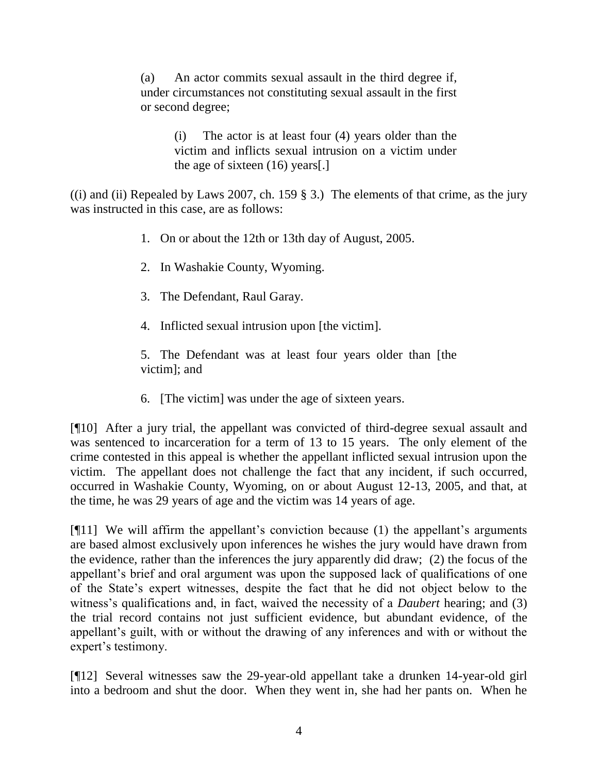(a) An actor commits sexual assault in the third degree if, under circumstances not constituting sexual assault in the first or second degree;

> (i) The actor is at least four (4) years older than the victim and inflicts sexual intrusion on a victim under the age of sixteen (16) years[.]

((i) and (ii) Repealed by Laws 2007, ch. 159  $\S$  3.) The elements of that crime, as the jury was instructed in this case, are as follows:

- 1. On or about the 12th or 13th day of August, 2005.
- 2. In Washakie County, Wyoming.
- 3. The Defendant, Raul Garay.
- 4. Inflicted sexual intrusion upon [the victim].

5. The Defendant was at least four years older than [the victim]; and

6. [The victim] was under the age of sixteen years.

[¶10] After a jury trial, the appellant was convicted of third-degree sexual assault and was sentenced to incarceration for a term of 13 to 15 years. The only element of the crime contested in this appeal is whether the appellant inflicted sexual intrusion upon the victim. The appellant does not challenge the fact that any incident, if such occurred, occurred in Washakie County, Wyoming, on or about August 12-13, 2005, and that, at the time, he was 29 years of age and the victim was 14 years of age.

[¶11] We will affirm the appellant's conviction because (1) the appellant's arguments are based almost exclusively upon inferences he wishes the jury would have drawn from the evidence, rather than the inferences the jury apparently did draw; (2) the focus of the appellant's brief and oral argument was upon the supposed lack of qualifications of one of the State's expert witnesses, despite the fact that he did not object below to the witness's qualifications and, in fact, waived the necessity of a *Daubert* hearing; and (3) the trial record contains not just sufficient evidence, but abundant evidence, of the appellant's guilt, with or without the drawing of any inferences and with or without the expert's testimony.

[¶12] Several witnesses saw the 29-year-old appellant take a drunken 14-year-old girl into a bedroom and shut the door. When they went in, she had her pants on. When he